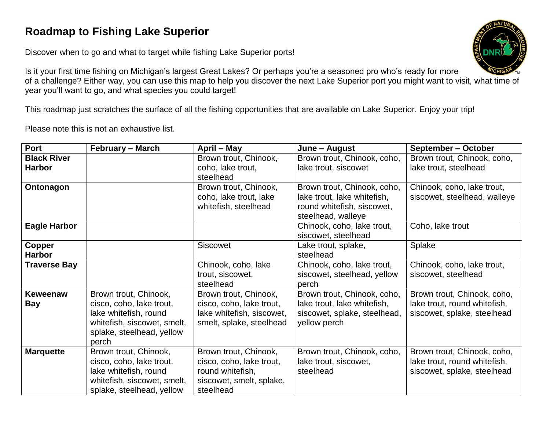## **Roadmap to Fishing Lake Superior**

Discover when to go and what to target while fishing Lake Superior ports!

Is it your first time fishing on Michigan's largest Great Lakes? Or perhaps you're a seasoned pro who's ready for more of a challenge? Either way, you can use this map to help you discover the next Lake Superior port you might want to visit, what time of year you'll want to go, and what species you could target!

This roadmap just scratches the surface of all the fishing opportunities that are available on Lake Superior. Enjoy your trip!

Please note this is not an exhaustive list.

| Port                                | <b>February – March</b>                                                                                                                         | April – May                                                                                                    | June – August                                                                                                  | September – October                                                                        |
|-------------------------------------|-------------------------------------------------------------------------------------------------------------------------------------------------|----------------------------------------------------------------------------------------------------------------|----------------------------------------------------------------------------------------------------------------|--------------------------------------------------------------------------------------------|
| <b>Black River</b><br><b>Harbor</b> |                                                                                                                                                 | Brown trout, Chinook,<br>coho, lake trout,                                                                     | Brown trout, Chinook, coho,<br>lake trout, siscowet                                                            | Brown trout, Chinook, coho,<br>lake trout, steelhead                                       |
|                                     |                                                                                                                                                 | steelhead                                                                                                      |                                                                                                                |                                                                                            |
| Ontonagon                           |                                                                                                                                                 | Brown trout, Chinook,<br>coho, lake trout, lake<br>whitefish, steelhead                                        | Brown trout, Chinook, coho,<br>lake trout, lake whitefish,<br>round whitefish, siscowet,<br>steelhead, walleye | Chinook, coho, lake trout,<br>siscowet, steelhead, walleye                                 |
| Eagle Harbor                        |                                                                                                                                                 |                                                                                                                | Chinook, coho, lake trout,<br>siscowet, steelhead                                                              | Coho, lake trout                                                                           |
| Copper<br><b>Harbor</b>             |                                                                                                                                                 | <b>Siscowet</b>                                                                                                | Lake trout, splake,<br>steelhead                                                                               | Splake                                                                                     |
| <b>Traverse Bay</b>                 |                                                                                                                                                 | Chinook, coho, lake<br>trout, siscowet,<br>steelhead                                                           | Chinook, coho, lake trout,<br>siscowet, steelhead, yellow<br>perch                                             | Chinook, coho, lake trout,<br>siscowet, steelhead                                          |
| <b>Keweenaw</b><br><b>Bay</b>       | Brown trout, Chinook,<br>cisco, coho, lake trout,<br>lake whitefish, round<br>whitefish, siscowet, smelt,<br>splake, steelhead, yellow<br>perch | Brown trout, Chinook,<br>cisco, coho, lake trout,<br>lake whitefish, siscowet,<br>smelt, splake, steelhead     | Brown trout, Chinook, coho,<br>lake trout, lake whitefish,<br>siscowet, splake, steelhead,<br>yellow perch     | Brown trout, Chinook, coho,<br>lake trout, round whitefish,<br>siscowet, splake, steelhead |
| <b>Marquette</b>                    | Brown trout, Chinook,<br>cisco, coho, lake trout,<br>lake whitefish, round<br>whitefish, siscowet, smelt,<br>splake, steelhead, yellow          | Brown trout, Chinook,<br>cisco, coho, lake trout,<br>round whitefish,<br>siscowet, smelt, splake,<br>steelhead | Brown trout, Chinook, coho,<br>lake trout, siscowet,<br>steelhead                                              | Brown trout, Chinook, coho,<br>lake trout, round whitefish,<br>siscowet, splake, steelhead |